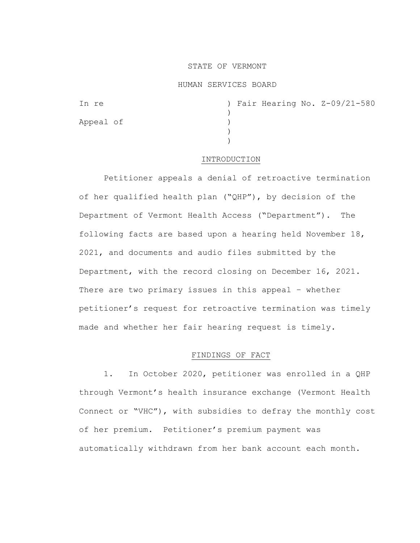## STATE OF VERMONT

## HUMAN SERVICES BOARD

| In re     |  |  | ) Fair Hearing No. Z-09/21-580 |
|-----------|--|--|--------------------------------|
|           |  |  |                                |
| Appeal of |  |  |                                |
|           |  |  |                                |
|           |  |  |                                |

## INTRODUCTION

Petitioner appeals a denial of retroactive termination of her qualified health plan ("QHP"), by decision of the Department of Vermont Health Access ("Department"). The following facts are based upon a hearing held November 18, 2021, and documents and audio files submitted by the Department, with the record closing on December 16, 2021. There are two primary issues in this appeal – whether petitioner's request for retroactive termination was timely made and whether her fair hearing request is timely.

# FINDINGS OF FACT

1. In October 2020, petitioner was enrolled in a QHP through Vermont's health insurance exchange (Vermont Health Connect or "VHC"), with subsidies to defray the monthly cost of her premium. Petitioner's premium payment was automatically withdrawn from her bank account each month.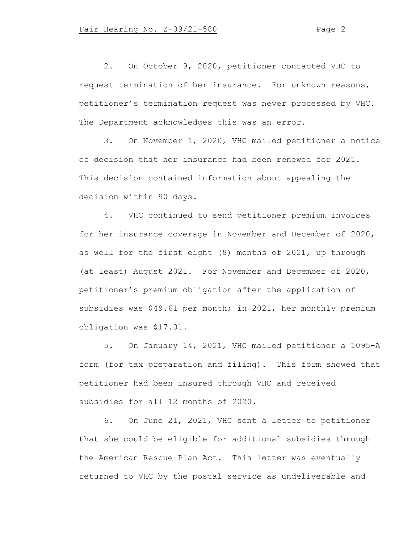2. On October 9, 2020, petitioner contacted VHC to request termination of her insurance. For unknown reasons, petitioner's termination request was never processed by VHC. The Department acknowledges this was an error.

3. On November 1, 2020, VHC mailed petitioner a notice of decision that her insurance had been renewed for 2021. This decision contained information about appealing the decision within 90 days.

4. VHC continued to send petitioner premium invoices for her insurance coverage in November and December of 2020, as well for the first eight (8) months of 2021, up through (at least) August 2021. For November and December of 2020, petitioner's premium obligation after the application of subsidies was \$49.61 per month; in 2021, her monthly premium obligation was \$17.01.

5. On January 14, 2021, VHC mailed petitioner a 1095-A form (for tax preparation and filing). This form showed that petitioner had been insured through VHC and received subsidies for all 12 months of 2020.

6. On June 21, 2021, VHC sent a letter to petitioner that she could be eligible for additional subsidies through the American Rescue Plan Act. This letter was eventually returned to VHC by the postal service as undeliverable and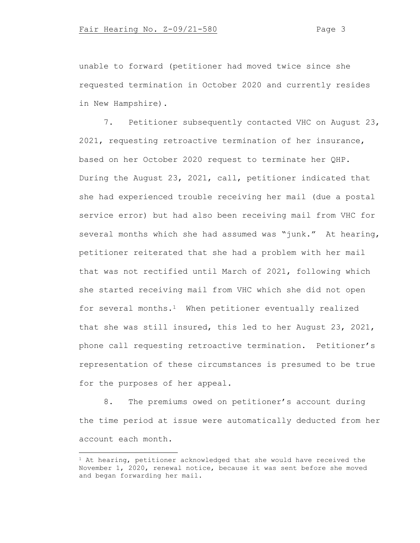unable to forward (petitioner had moved twice since she requested termination in October 2020 and currently resides in New Hampshire).

7. Petitioner subsequently contacted VHC on August 23, 2021, requesting retroactive termination of her insurance, based on her October 2020 request to terminate her QHP. During the August 23, 2021, call, petitioner indicated that she had experienced trouble receiving her mail (due a postal service error) but had also been receiving mail from VHC for several months which she had assumed was "junk." At hearing, petitioner reiterated that she had a problem with her mail that was not rectified until March of 2021, following which she started receiving mail from VHC which she did not open for several months.<sup>1</sup> When petitioner eventually realized that she was still insured, this led to her August 23, 2021, phone call requesting retroactive termination. Petitioner's representation of these circumstances is presumed to be true for the purposes of her appeal.

8. The premiums owed on petitioner's account during the time period at issue were automatically deducted from her account each month.

<sup>&</sup>lt;sup>1</sup> At hearing, petitioner acknowledged that she would have received the November 1, 2020, renewal notice, because it was sent before she moved and began forwarding her mail.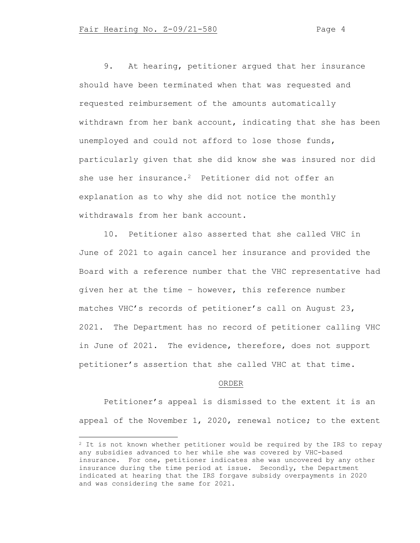9. At hearing, petitioner argued that her insurance should have been terminated when that was requested and requested reimbursement of the amounts automatically withdrawn from her bank account, indicating that she has been unemployed and could not afford to lose those funds, particularly given that she did know she was insured nor did she use her insurance.<sup>2</sup> Petitioner did not offer an explanation as to why she did not notice the monthly withdrawals from her bank account.

10. Petitioner also asserted that she called VHC in June of 2021 to again cancel her insurance and provided the Board with a reference number that the VHC representative had given her at the time – however, this reference number matches VHC's records of petitioner's call on August 23, 2021. The Department has no record of petitioner calling VHC in June of 2021. The evidence, therefore, does not support petitioner's assertion that she called VHC at that time.

#### ORDER

Petitioner's appeal is dismissed to the extent it is an appeal of the November 1, 2020, renewal notice; to the extent

<sup>&</sup>lt;sup>2</sup> It is not known whether petitioner would be required by the IRS to repay any subsidies advanced to her while she was covered by VHC-based insurance. For one, petitioner indicates she was uncovered by any other insurance during the time period at issue. Secondly, the Department indicated at hearing that the IRS forgave subsidy overpayments in 2020 and was considering the same for 2021.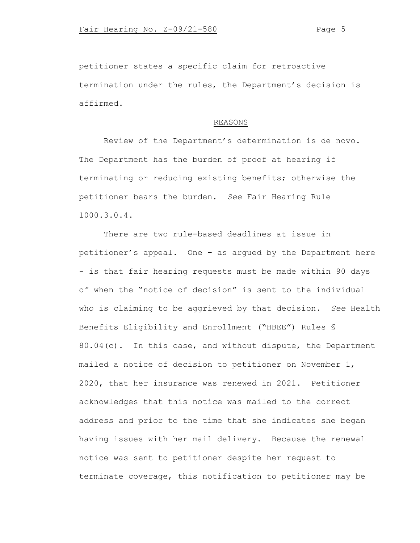petitioner states a specific claim for retroactive termination under the rules, the Department's decision is affirmed.

## REASONS

Review of the Department's determination is de novo. The Department has the burden of proof at hearing if terminating or reducing existing benefits; otherwise the petitioner bears the burden. *See* Fair Hearing Rule 1000.3.0.4.

There are two rule-based deadlines at issue in petitioner's appeal. One – as argued by the Department here - is that fair hearing requests must be made within 90 days of when the "notice of decision" is sent to the individual who is claiming to be aggrieved by that decision. *See* Health Benefits Eligibility and Enrollment ("HBEE") Rules § 80.04(c). In this case, and without dispute, the Department mailed a notice of decision to petitioner on November 1, 2020, that her insurance was renewed in 2021. Petitioner acknowledges that this notice was mailed to the correct address and prior to the time that she indicates she began having issues with her mail delivery. Because the renewal notice was sent to petitioner despite her request to terminate coverage, this notification to petitioner may be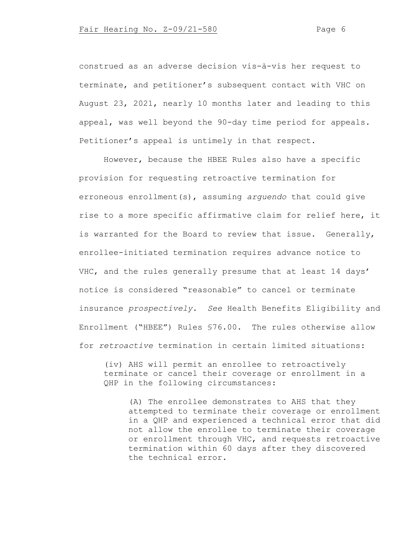construed as an adverse decision vis-à-vis her request to terminate, and petitioner's subsequent contact with VHC on August 23, 2021, nearly 10 months later and leading to this appeal, was well beyond the 90-day time period for appeals. Petitioner's appeal is untimely in that respect.

However, because the HBEE Rules also have a specific provision for requesting retroactive termination for erroneous enrollment(s), assuming *arguendo* that could give rise to a more specific affirmative claim for relief here, it is warranted for the Board to review that issue. Generally, enrollee-initiated termination requires advance notice to VHC, and the rules generally presume that at least 14 days' notice is considered "reasonable" to cancel or terminate insurance *prospectively*. *See* Health Benefits Eligibility and Enrollment ("HBEE") Rules §76.00. The rules otherwise allow for *retroactive* termination in certain limited situations:

(iv) AHS will permit an enrollee to retroactively terminate or cancel their coverage or enrollment in a QHP in the following circumstances:

(A) The enrollee demonstrates to AHS that they attempted to terminate their coverage or enrollment in a QHP and experienced a technical error that did not allow the enrollee to terminate their coverage or enrollment through VHC, and requests retroactive termination within 60 days after they discovered the technical error.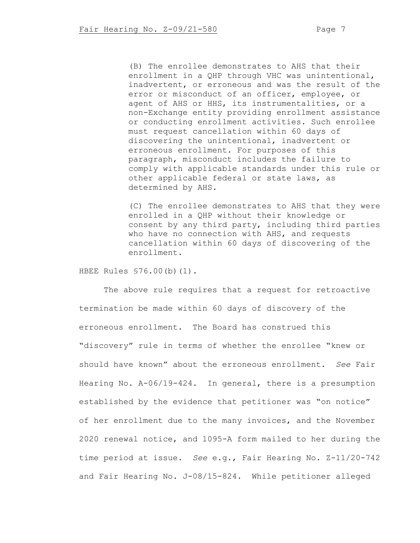(B) The enrollee demonstrates to AHS that their enrollment in a QHP through VHC was unintentional, inadvertent, or erroneous and was the result of the error or misconduct of an officer, employee, or agent of AHS or HHS, its instrumentalities, or a non-Exchange entity providing enrollment assistance or conducting enrollment activities. Such enrollee must request cancellation within 60 days of discovering the unintentional, inadvertent or erroneous enrollment. For purposes of this paragraph, misconduct includes the failure to comply with applicable standards under this rule or other applicable federal or state laws, as determined by AHS.

(C) The enrollee demonstrates to AHS that they were enrolled in a QHP without their knowledge or consent by any third party, including third parties who have no connection with AHS, and requests cancellation within 60 days of discovering of the enrollment.

HBEE Rules §76.00(b)(1).

The above rule requires that a request for retroactive termination be made within 60 days of discovery of the erroneous enrollment. The Board has construed this "discovery" rule in terms of whether the enrollee "knew or should have known" about the erroneous enrollment. *See* Fair Hearing No. A-06/19-424. In general, there is a presumption established by the evidence that petitioner was "on notice" of her enrollment due to the many invoices, and the November 2020 renewal notice, and 1095-A form mailed to her during the time period at issue. *See* e.g., Fair Hearing No. Z-11/20-742 and Fair Hearing No. J-08/15-824. While petitioner alleged